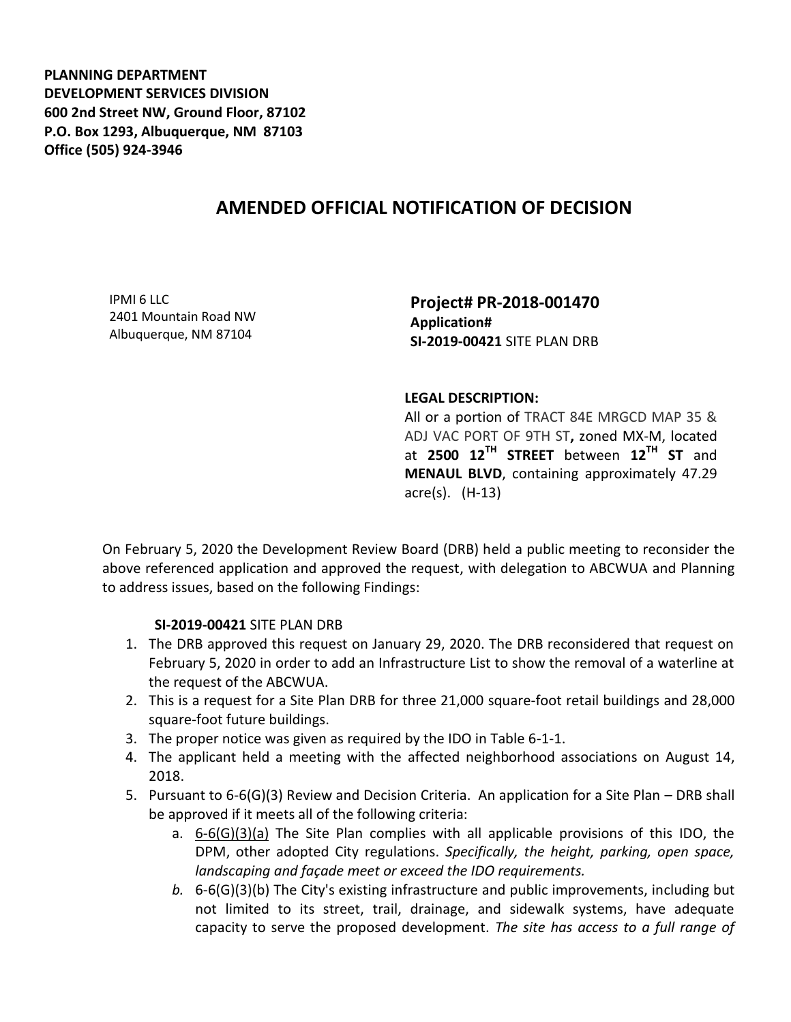**PLANNING DEPARTMENT DEVELOPMENT SERVICES DIVISION 600 2nd Street NW, Ground Floor, 87102 P.O. Box 1293, Albuquerque, NM 87103 Office (505) 924-3946** 

## **AMENDED OFFICIAL NOTIFICATION OF DECISION**

IPMI 6 LLC 2401 Mountain Road NW Albuquerque, NM 87104

**Project# PR-2018-001470 Application# SI-2019-00421** SITE PLAN DRB

## **LEGAL DESCRIPTION:**

All or a portion of TRACT 84E MRGCD MAP 35 & ADJ VAC PORT OF 9TH ST**,** zoned MX-M, located at **2500 12TH STREET** between **12TH ST** and **MENAUL BLVD**, containing approximately 47.29 acre(s). (H-13)

On February 5, 2020 the Development Review Board (DRB) held a public meeting to reconsider the above referenced application and approved the request, with delegation to ABCWUA and Planning to address issues, based on the following Findings:

## **SI-2019-00421** SITE PLAN DRB

- 1. The DRB approved this request on January 29, 2020. The DRB reconsidered that request on February 5, 2020 in order to add an Infrastructure List to show the removal of a waterline at the request of the ABCWUA.
- 2. This is a request for a Site Plan DRB for three 21,000 square-foot retail buildings and 28,000 square-foot future buildings.
- 3. The proper notice was given as required by the IDO in Table 6-1-1.
- 4. The applicant held a meeting with the affected neighborhood associations on August 14, 2018.
- 5. Pursuant to 6-6(G)(3) Review and Decision Criteria. An application for a Site Plan DRB shall be approved if it meets all of the following criteria:
	- a. 6-6(G)(3)(a) The Site Plan complies with all applicable provisions of this IDO, the DPM, other adopted City regulations. *Specifically, the height, parking, open space, landscaping and façade meet or exceed the IDO requirements.*
	- *b.* 6-6(G)(3)(b) The City's existing infrastructure and public improvements, including but not limited to its street, trail, drainage, and sidewalk systems, have adequate capacity to serve the proposed development. *The site has access to a full range of*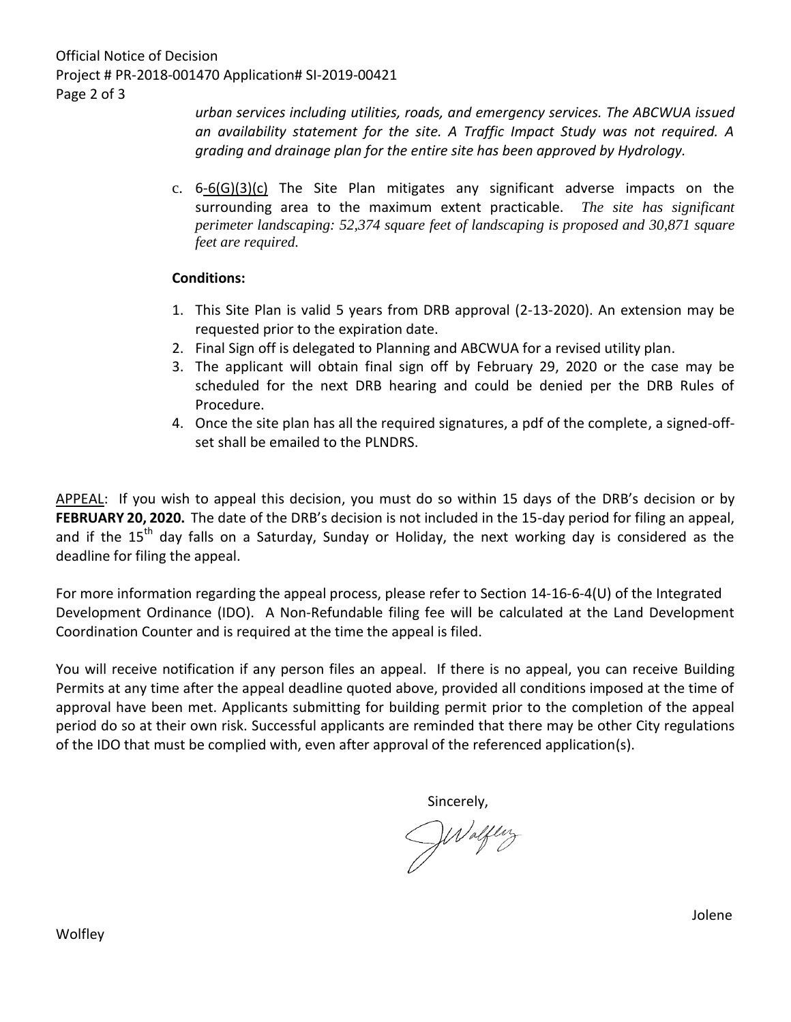Official Notice of Decision Project # PR-2018-001470 Application# SI-2019-00421 Page 2 of 3

*urban services including utilities, roads, and emergency services. The ABCWUA issued an availability statement for the site. A Traffic Impact Study was not required. A grading and drainage plan for the entire site has been approved by Hydrology.*

c.  $6-6(G)(3)(c)$  The Site Plan mitigates any significant adverse impacts on the surrounding area to the maximum extent practicable. *The site has significant perimeter landscaping: 52,374 square feet of landscaping is proposed and 30,871 square feet are required.* 

## **Conditions:**

- 1. This Site Plan is valid 5 years from DRB approval (2-13-2020). An extension may be requested prior to the expiration date.
- 2. Final Sign off is delegated to Planning and ABCWUA for a revised utility plan.
- 3. The applicant will obtain final sign off by February 29, 2020 or the case may be scheduled for the next DRB hearing and could be denied per the DRB Rules of Procedure.
- 4. Once the site plan has all the required signatures, a pdf of the complete, a signed-offset shall be emailed to the PLNDRS.

APPEAL: If you wish to appeal this decision, you must do so within 15 days of the DRB's decision or by **FEBRUARY 20, 2020.** The date of the DRB's decision is not included in the 15-day period for filing an appeal, and if the  $15<sup>th</sup>$  day falls on a Saturday, Sunday or Holiday, the next working day is considered as the deadline for filing the appeal.

For more information regarding the appeal process, please refer to Section 14-16-6-4(U) of the Integrated Development Ordinance (IDO). A Non-Refundable filing fee will be calculated at the Land Development Coordination Counter and is required at the time the appeal is filed.

You will receive notification if any person files an appeal. If there is no appeal, you can receive Building Permits at any time after the appeal deadline quoted above, provided all conditions imposed at the time of approval have been met. Applicants submitting for building permit prior to the completion of the appeal period do so at their own risk. Successful applicants are reminded that there may be other City regulations of the IDO that must be complied with, even after approval of the referenced application(s).

Sincerely,

Waltery

Jolene